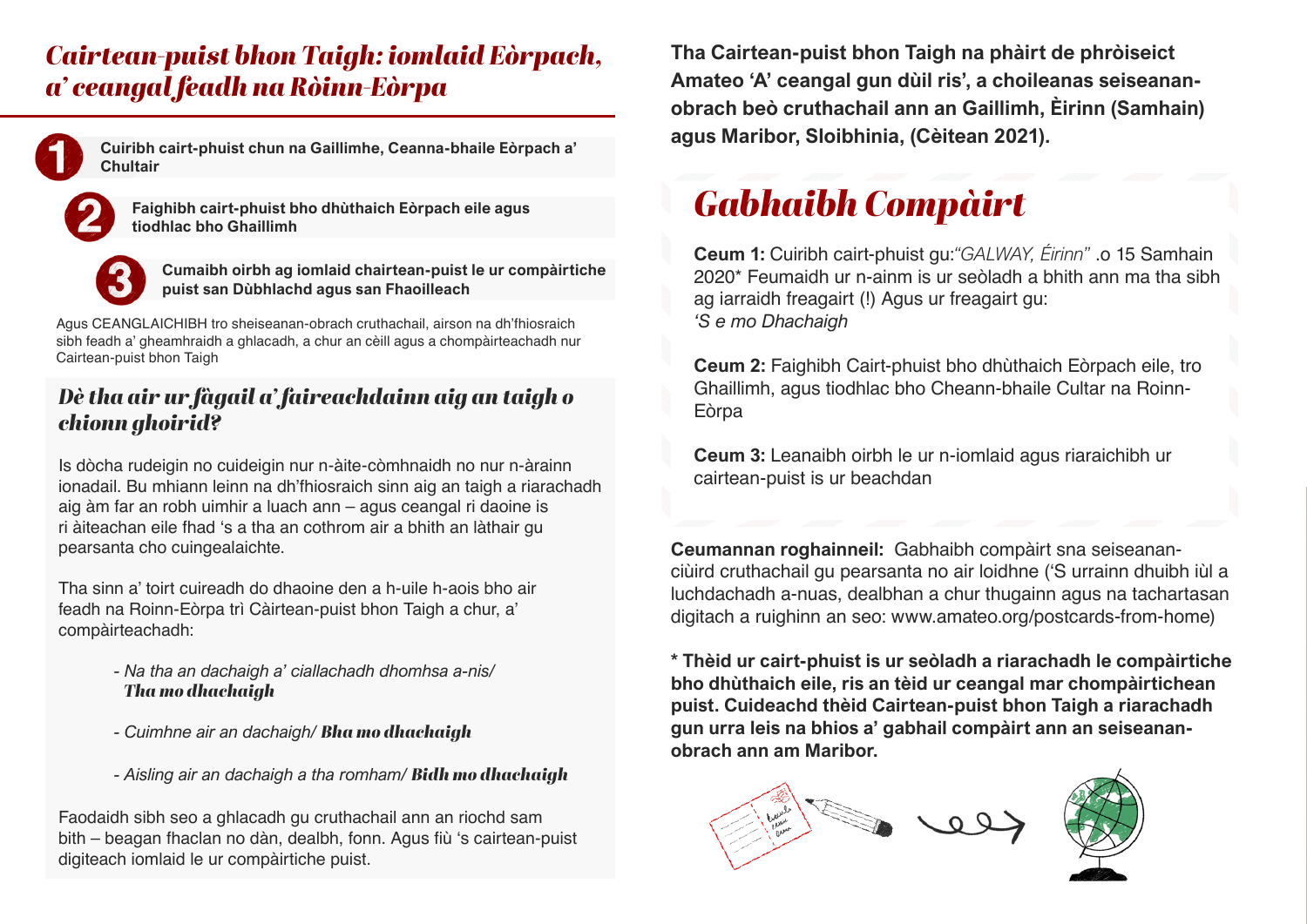#### *Cairtean-puist bhon Taigh: iomlaid Eòrpach, a' ceangal feadh na Ròinn-Eòrpa*



**Cuiribh cairt-phuist chun na Gaillimhe, Ceanna-bhaile Eòrpach a' Chultair** 





**Cumaibh oirbh ag iomlaid chairtean-puist le ur compàirtiche puist san Dùbhlachd agus san Fhaoilleach**

Agus CEANGLAICHIBH tro sheiseanan-obrach cruthachail, airson na dh'fhiosraich sibh feadh a' gheamhraidh a ghlacadh, a chur an cèill agus a chompàirteachadh nur Cairtean-puist bhon Taigh

#### *Dè tha air ur fàgail a' faireachdainn aig an taigh o chionn ghoirid?*

Is dòcha rudeigin no cuideigin nur n-àite-còmhnaidh no nur n-àrainn ionadail. Bu mhiann leinn na dh'fhiosraich sinn aig an taigh a riarachadh aig àm far an robh uimhir a luach ann – agus ceangal ri daoine is ri àiteachan eile fhad 's a tha an cothrom air a bhith an làthair gu pearsanta cho cuingealaichte.

Tha sinn a' toirt cuireadh do dhaoine den a h-uile h-aois bho air feadh na Roinn-Eòrpa trì Càirtean-puist bhon Taigh a chur, a' compàirteachadh:

- *Na tha an dachaigh a' ciallachadh dhomhsa a-nis/ Tha mo dhachaigh*
- *Cuimhne air an dachaigh/ Bha mo dhachaigh*
- *Aisling air an dachaigh a tha romham/ Bidh mo dhachaigh*

Faodaidh sibh seo a ghlacadh gu cruthachail ann an riochd sam bith – beagan fhaclan no dàn, dealbh, fonn. Agus fiù 's cairtean-puist digiteach iomlaid le ur compàirtiche puist.

**Tha Cairtean-puist bhon Taigh na phàirt de phròiseict Amateo 'A' ceangal gun dùil ris', a choileanas seiseananobrach beò cruthachail ann an Gaillimh, Èirinn (Samhain) agus Maribor, Sloibhinia, (Cèitean 2021).**

## *Gabhaibh Compàirt*

**Ceum 1:** Cuiribh cairt-phuist gu:*"GALWAY, Éirinn"* .o 15 Samhain 2020\* Feumaidh ur n-ainm is ur seòladh a bhith ann ma tha sibh ag iarraidh freagairt (!) Agus ur freagairt gu: *'S e mo Dhachaigh* 

**Ceum 2:** Faighibh Cairt-phuist bho dhùthaich Eòrpach eile, tro Ghaillimh, agus tiodhlac bho Cheann-bhaile Cultar na Roinn-**E**òrpa

**Ceum 3:** Leanaibh oirbh le ur n-iomlaid agus riaraichibh ur cairtean-puist is ur beachdan

**Ceumannan roghainneil:** Gabhaibh compàirt sna seiseananciùird cruthachail gu pearsanta no air loidhne ('S urrainn dhuibh iùl a luchdachadh a-nuas, dealbhan a chur thugainn agus na tachartasan digitach a ruighinn an seo: [www.amateo.org/postcards-from-home\)](http://www.amateo.org/postcards-from-home)

**\* Thèid ur cairt-phuist is ur seòladh a riarachadh le compàirtiche bho dhùthaich eile, ris an tèid ur ceangal mar chompàirtichean puist. Cuideachd thèid Cairtean-puist bhon Taigh a riarachadh gun urra leis na bhios a' gabhail compàirt ann an seiseananobrach ann am Maribor.**